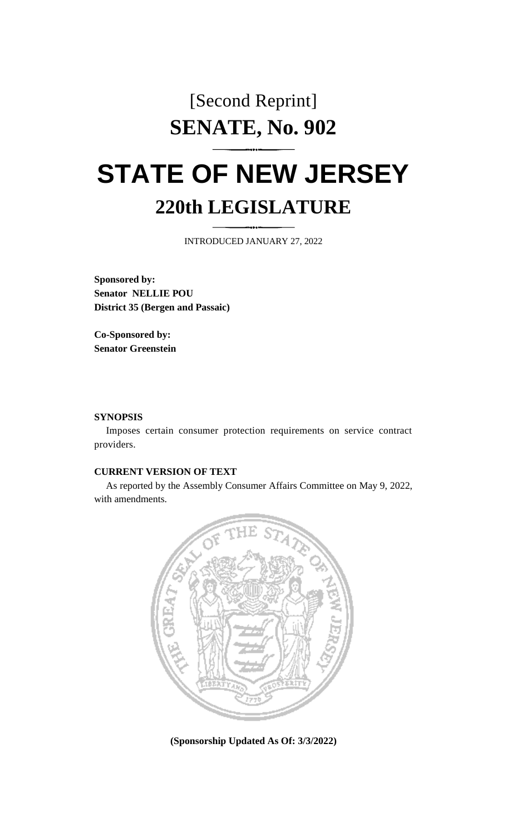# [Second Reprint] **SENATE, No. 902**

# **STATE OF NEW JERSEY 220th LEGISLATURE**

INTRODUCED JANUARY 27, 2022

**Sponsored by: Senator NELLIE POU District 35 (Bergen and Passaic)**

**Co-Sponsored by: Senator Greenstein**

#### **SYNOPSIS**

Imposes certain consumer protection requirements on service contract providers.

# **CURRENT VERSION OF TEXT**

As reported by the Assembly Consumer Affairs Committee on May 9, 2022, with amendments.



**(Sponsorship Updated As Of: 3/3/2022)**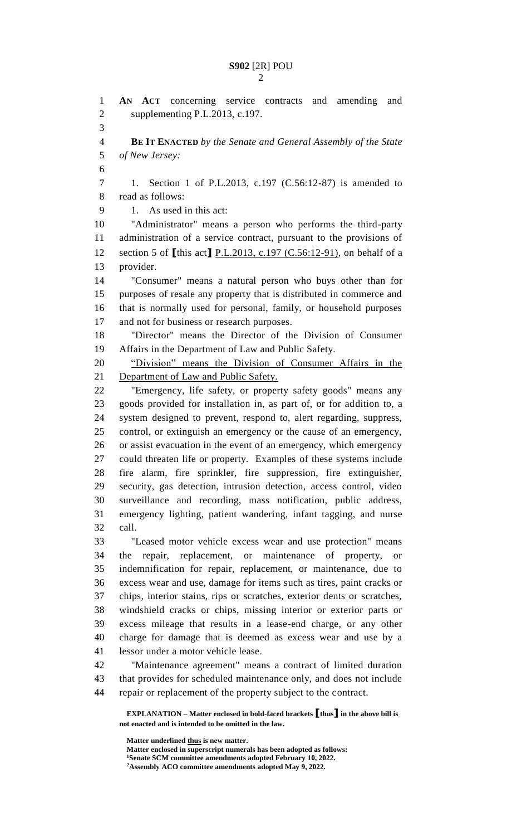**AN ACT** concerning service contracts and amending and supplementing P.L.2013, c.197. **BE IT ENACTED** *by the Senate and General Assembly of the State of New Jersey:* 1. Section 1 of P.L.2013, c.197 (C.56:12-87) is amended to read as follows: 1. As used in this act: "Administrator" means a person who performs the third-party administration of a service contract, pursuant to the provisions of section 5 of **[**this act**]** P.L.2013, c.197 (C.56:12-91), on behalf of a provider. "Consumer" means a natural person who buys other than for purposes of resale any property that is distributed in commerce and that is normally used for personal, family, or household purposes and not for business or research purposes. "Director" means the Director of the Division of Consumer Affairs in the Department of Law and Public Safety. "Division" means the Division of Consumer Affairs in the Department of Law and Public Safety. "Emergency, life safety, or property safety goods" means any goods provided for installation in, as part of, or for addition to, a system designed to prevent, respond to, alert regarding, suppress, control, or extinguish an emergency or the cause of an emergency, or assist evacuation in the event of an emergency, which emergency could threaten life or property. Examples of these systems include fire alarm, fire sprinkler, fire suppression, fire extinguisher, security, gas detection, intrusion detection, access control, video surveillance and recording, mass notification, public address, emergency lighting, patient wandering, infant tagging, and nurse call. "Leased motor vehicle excess wear and use protection" means the repair, replacement, or maintenance of property, or indemnification for repair, replacement, or maintenance, due to excess wear and use, damage for items such as tires, paint cracks or chips, interior stains, rips or scratches, exterior dents or scratches, windshield cracks or chips, missing interior or exterior parts or excess mileage that results in a lease-end charge, or any other charge for damage that is deemed as excess wear and use by a lessor under a motor vehicle lease. "Maintenance agreement" means a contract of limited duration that provides for scheduled maintenance only, and does not include

**EXPLANATION – Matter enclosed in bold-faced brackets [thus] in the above bill is**  repair or replacement of the property subject to the contract.

**not enacted and is intended to be omitted in the law.**

**Matter underlined thus is new matter. Matter enclosed in superscript numerals has been adopted as follows: Senate SCM committee amendments adopted February 10, 2022. Assembly ACO committee amendments adopted May 9, 2022.**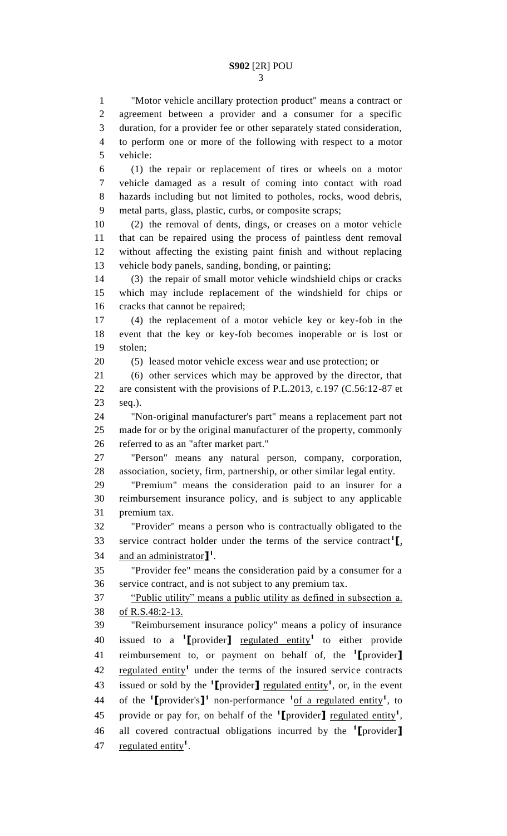"Motor vehicle ancillary protection product" means a contract or agreement between a provider and a consumer for a specific duration, for a provider fee or other separately stated consideration, to perform one or more of the following with respect to a motor vehicle: (1) the repair or replacement of tires or wheels on a motor

 vehicle damaged as a result of coming into contact with road hazards including but not limited to potholes, rocks, wood debris, metal parts, glass, plastic, curbs, or composite scraps;

 (2) the removal of dents, dings, or creases on a motor vehicle that can be repaired using the process of paintless dent removal without affecting the existing paint finish and without replacing vehicle body panels, sanding, bonding, or painting;

 (3) the repair of small motor vehicle windshield chips or cracks which may include replacement of the windshield for chips or cracks that cannot be repaired;

 (4) the replacement of a motor vehicle key or key-fob in the event that the key or key-fob becomes inoperable or is lost or stolen;

(5) leased motor vehicle excess wear and use protection; or

 (6) other services which may be approved by the director, that are consistent with the provisions of P.L.2013, c.197 (C.56:12-87 et seq.).

 "Non-original manufacturer's part" means a replacement part not made for or by the original manufacturer of the property, commonly referred to as an "after market part."

 "Person" means any natural person, company, corporation, association, society, firm, partnership, or other similar legal entity.

 "Premium" means the consideration paid to an insurer for a reimbursement insurance policy, and is subject to any applicable premium tax.

 "Provider" means a person who is contractually obligated to the service contract holder under the terms of the service contract<sup>1</sup> $\mathbf{I}_1$ , 34 and an administrator<sup>1</sup><sup>1</sup>.

 "Provider fee" means the consideration paid by a consumer for a service contract, and is not subject to any premium tax.

 "Public utility" means a public utility as defined in subsection a. of R.S.48:2-13.

 "Reimbursement insurance policy" means a policy of insurance 40 issued to a <sup>1</sup>[provider] <u>regulated entity</u><sup>1</sup> to either provide reimbursement to, or payment on behalf of, the **<sup>1</sup> [**provider**]** 42 regulated entity<sup>1</sup> under the terms of the insured service contracts 43 issued or sold by the  $\text{1}$  **[**provider**]** <u>regulated entity</u><sup>1</sup>, or, in the event 44 of the  $\text{1}$ **[**provider's**]** non-performance  $\text{1}$  of a regulated entity<sup>1</sup>, to 45 provide or pay for, on behalf of the  $\text{1}$  **[**provider] <u>regulated entity</u><sup>1</sup>, all covered contractual obligations incurred by the **<sup>1</sup> [**provider**]** 47 regulated entity<sup>1</sup>.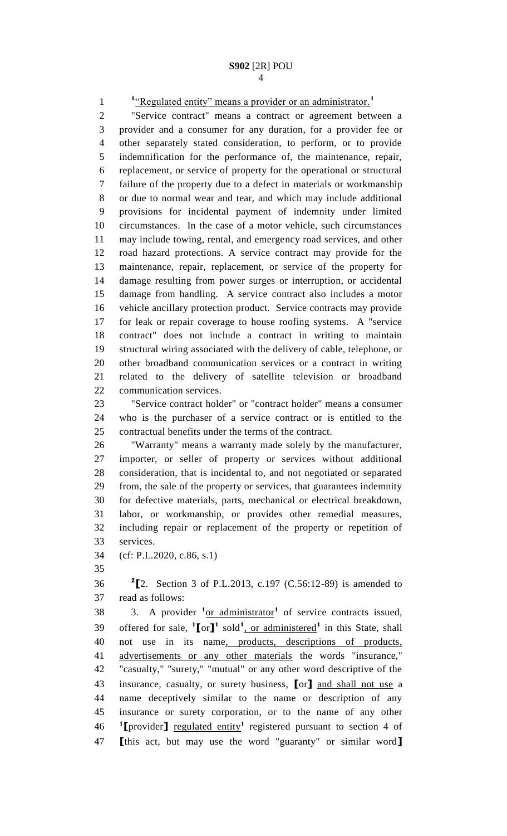<sup>1</sup>"Regulated entity" means a provider or an administrator.<sup>1</sup>

 "Service contract" means a contract or agreement between a provider and a consumer for any duration, for a provider fee or other separately stated consideration, to perform, or to provide indemnification for the performance of, the maintenance, repair, replacement, or service of property for the operational or structural failure of the property due to a defect in materials or workmanship or due to normal wear and tear, and which may include additional provisions for incidental payment of indemnity under limited circumstances. In the case of a motor vehicle, such circumstances may include towing, rental, and emergency road services, and other road hazard protections. A service contract may provide for the maintenance, repair, replacement, or service of the property for damage resulting from power surges or interruption, or accidental damage from handling. A service contract also includes a motor vehicle ancillary protection product. Service contracts may provide for leak or repair coverage to house roofing systems. A "service contract" does not include a contract in writing to maintain structural wiring associated with the delivery of cable, telephone, or other broadband communication services or a contract in writing related to the delivery of satellite television or broadband communication services.

 "Service contract holder" or "contract holder" means a consumer who is the purchaser of a service contract or is entitled to the contractual benefits under the terms of the contract.

 "Warranty" means a warranty made solely by the manufacturer, importer, or seller of property or services without additional consideration, that is incidental to, and not negotiated or separated from, the sale of the property or services, that guarantees indemnity for defective materials, parts, mechanical or electrical breakdown, labor, or workmanship, or provides other remedial measures, including repair or replacement of the property or repetition of services.

- (cf: P.L.2020, c.86, s.1)
- 

**2 [**2. Section 3 of P.L.2013, c.197 (C.56:12-89) is amended to read as follows:

38 3. A provider <sup>1</sup><u>or administrator</u><sup>1</sup> of service contracts issued, 39 offered for sale,  $\binom{1}{0}$  or  $\frac{1}{1}$  sold<sup>1</sup>, or administered<sup>1</sup> in this State, shall not use in its name, products, descriptions of products, advertisements or any other materials the words "insurance," "casualty," "surety," "mutual" or any other word descriptive of the insurance, casualty, or surety business, **[**or**]** and shall not use a name deceptively similar to the name or description of any insurance or surety corporation, or to the name of any other **I** rovider get regulated entity<sup>1</sup> registered pursuant to section 4 of **[**this act, but may use the word "guaranty" or similar word**]**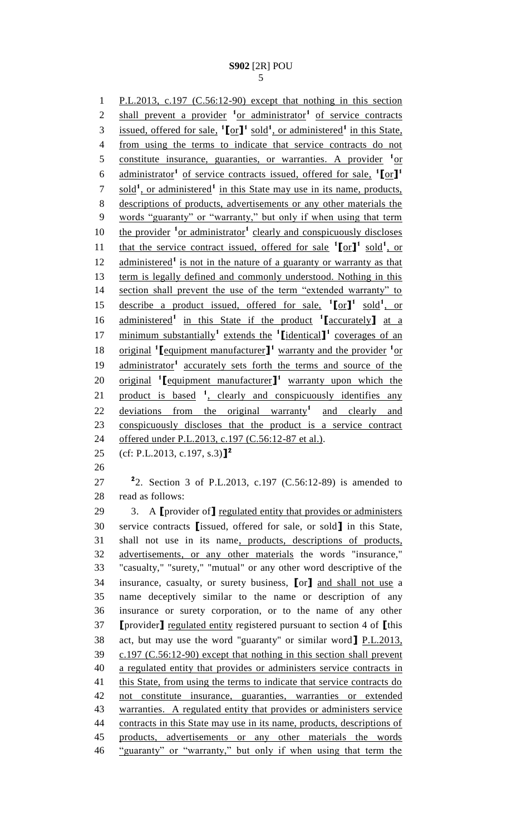P.L.2013, c.197 (C.56:12-90) except that nothing in this section 2 shall prevent a provider <sup>1</sup> or administrator<sup>1</sup> of service contracts 3 issued, offered for sale,  $\text{I}$   $[\text{or}]\text{I}$ <sup>1</sup> sold<sup>1</sup>, or administered<sup>1</sup> in this State, from using the terms to indicate that service contracts do not 5 constitute insurance, guaranties, or warranties. A provider <sup>1</sup> or administrator**<sup>1</sup>** of service contracts issued, offered for sale, **1 [**or**] 1** 7 sold<sup>1</sup>, or administered<sup>1</sup> in this State may use in its name, products, descriptions of products, advertisements or any other materials the words "guaranty" or "warranty," but only if when using that term 10 the provider <sup>1</sup> or administrator<sup>1</sup> clearly and conspicuously discloses 11 that the service contract issued, offered for sale  $\binom{1}{r}$  sold<sup>1</sup>, or 12 administered<sup>1</sup> is not in the nature of a guaranty or warranty as that term is legally defined and commonly understood. Nothing in this section shall prevent the use of the term "extended warranty" to 15 describe a product issued, offered for sale,  $\binom{1}{0}$  or  $\binom{1}{1}$  sold<sup>1</sup>, or administered**<sup>1</sup>** in this State if the product **<sup>1</sup> [**accurately**]** at a minimum substantially**<sup>1</sup>** extends the **<sup>1</sup> [**identical**] 1** coverages of an 18 original <sup>1</sup> [equipment manufacturer]<sup>1</sup> warranty and the provider <sup>1</sup> or 19 administrator<sup>1</sup> accurately sets forth the terms and source of the 20 original **[**equipment manufacturer]<sup>1</sup> warranty upon which the 21 product is based <sup>1</sup>, clearly and conspicuously identifies any 22 deviations from the original warranty<sup>1</sup> and clearly and conspicuously discloses that the product is a service contract 24 offered under P.L.2013, c.197 (C.56:12-87 et al.). (cf: P.L.2013, c.197, s.3)**] 2 2** 2. Section 3 of P.L.2013, c.197 (C.56:12-89) is amended to read as follows: 3. A **[**provider of**]** regulated entity that provides or administers service contracts **[**issued, offered for sale, or sold**]** in this State, shall not use in its name, products, descriptions of products, advertisements, or any other materials the words "insurance," "casualty," "surety," "mutual" or any other word descriptive of the insurance, casualty, or surety business, **[**or**]** and shall not use a name deceptively similar to the name or description of any insurance or surety corporation, or to the name of any other **[**provider**]** regulated entity registered pursuant to section 4 of **[**this act, but may use the word "guaranty" or similar word**]** P.L.2013, c.197 (C.56:12-90) except that nothing in this section shall prevent a regulated entity that provides or administers service contracts in 41 this State, from using the terms to indicate that service contracts do not constitute insurance, guaranties, warranties or extended warranties. A regulated entity that provides or administers service 44 contracts in this State may use in its name, products, descriptions of products, advertisements or any other materials the words "guaranty" or "warranty," but only if when using that term the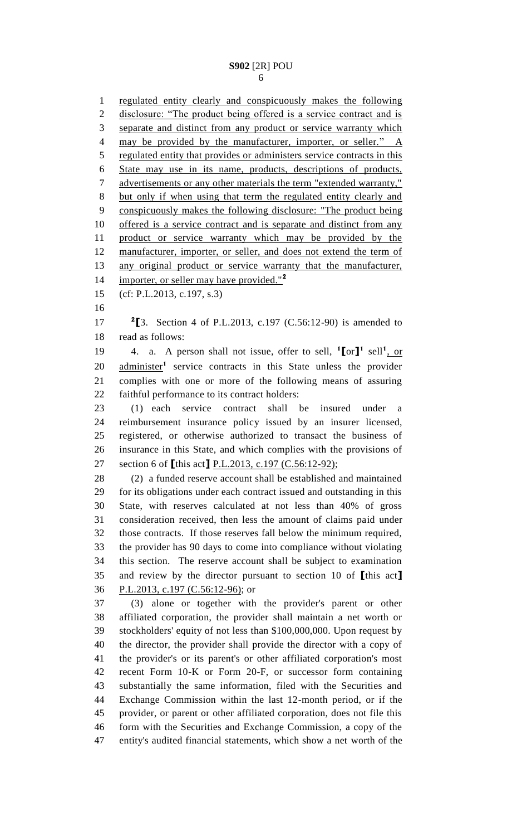regulated entity clearly and conspicuously makes the following 2 disclosure: "The product being offered is a service contract and is separate and distinct from any product or service warranty which 4 may be provided by the manufacturer, importer, or seller." A regulated entity that provides or administers service contracts in this State may use in its name, products, descriptions of products, 7 advertisements or any other materials the term "extended warranty," but only if when using that term the regulated entity clearly and conspicuously makes the following disclosure: "The product being 10 offered is a service contract and is separate and distinct from any product or service warranty which may be provided by the 12 manufacturer, importer, or seller, and does not extend the term of 13 any original product or service warranty that the manufacturer, importer, or seller may have provided."**<sup>2</sup>** (cf: P.L.2013, c.197, s.3) **[**3. Section 4 of P.L.2013, c.197 (C.56:12-90) is amended to read as follows: 19 4. a. A person shall not issue, offer to sell,  $\text{I}[\text{or}]$ <sup>1</sup> sell<sup>1</sup>, or 20 administer<sup>1</sup> service contracts in this State unless the provider complies with one or more of the following means of assuring faithful performance to its contract holders: (1) each service contract shall be insured under a reimbursement insurance policy issued by an insurer licensed, registered, or otherwise authorized to transact the business of insurance in this State, and which complies with the provisions of section 6 of **[**this act**]** P.L.2013, c.197 (C.56:12-92); (2) a funded reserve account shall be established and maintained for its obligations under each contract issued and outstanding in this State, with reserves calculated at not less than 40% of gross consideration received, then less the amount of claims paid under those contracts. If those reserves fall below the minimum required, the provider has 90 days to come into compliance without violating this section. The reserve account shall be subject to examination and review by the director pursuant to section 10 of **[**this act**]** P.L.2013, c.197 (C.56:12-96); or (3) alone or together with the provider's parent or other affiliated corporation, the provider shall maintain a net worth or stockholders' equity of not less than \$100,000,000. Upon request by the director, the provider shall provide the director with a copy of the provider's or its parent's or other affiliated corporation's most recent Form 10-K or Form 20-F, or successor form containing substantially the same information, filed with the Securities and Exchange Commission within the last 12-month period, or if the provider, or parent or other affiliated corporation, does not file this form with the Securities and Exchange Commission, a copy of the entity's audited financial statements, which show a net worth of the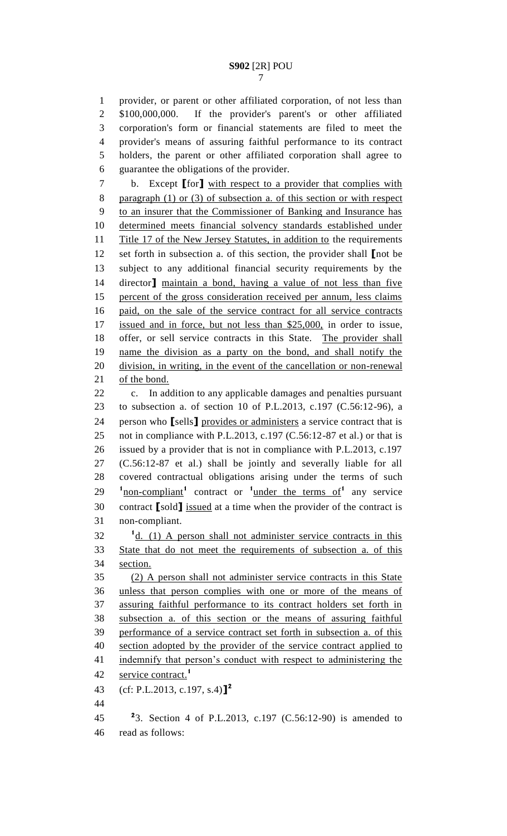provider, or parent or other affiliated corporation, of not less than \$100,000,000. If the provider's parent's or other affiliated corporation's form or financial statements are filed to meet the provider's means of assuring faithful performance to its contract holders, the parent or other affiliated corporation shall agree to guarantee the obligations of the provider.

 b. Except **[**for**]** with respect to a provider that complies with 8 paragraph (1) or (3) of subsection a. of this section or with respect to an insurer that the Commissioner of Banking and Insurance has determined meets financial solvency standards established under 11 Title 17 of the New Jersey Statutes, in addition to the requirements set forth in subsection a. of this section, the provider shall **[**not be subject to any additional financial security requirements by the director**]** maintain a bond, having a value of not less than five percent of the gross consideration received per annum, less claims paid, on the sale of the service contract for all service contracts 17 issued and in force, but not less than \$25,000, in order to issue, offer, or sell service contracts in this State. The provider shall name the division as a party on the bond, and shall notify the division, in writing, in the event of the cancellation or non-renewal 21 of the bond.

 c. In addition to any applicable damages and penalties pursuant to subsection a. of section 10 of P.L.2013, c.197 (C.56:12-96), a person who **[**sells**]** provides or administers a service contract that is not in compliance with P.L.2013, c.197 (C.56:12-87 et al.) or that is issued by a provider that is not in compliance with P.L.2013, c.197 (C.56:12-87 et al.) shall be jointly and severally liable for all covered contractual obligations arising under the terms of such  $10^{1}$   $\frac{1}{2}$  **1**  $\frac{1}{2}$  **1**  $\frac{1}{2}$  **1**  $\frac{1}{2}$  **1**  $\frac{1}{2}$  **1**  $\frac{1}{2}$  **1**  $\frac{1}{2}$  **1**  $\frac{1}{2}$  **1**  $\frac{1}{2}$  **1**  $\frac{1}{2}$  **1**  $\frac{1}{2}$  **1**  $\frac{1}{2}$  **1**  $\frac{1}{2}$  **1**  $\frac{1}{2}$  **1**  $\frac{1}{2}$  **1**  $\frac$  contract **[**sold**]** issued at a time when the provider of the contract is non-compliant.

32 <sup>d</sup>d. (1) A person shall not administer service contracts in this State that do not meet the requirements of subsection a. of this section.

 (2) A person shall not administer service contracts in this State unless that person complies with one or more of the means of assuring faithful performance to its contract holders set forth in subsection a. of this section or the means of assuring faithful performance of a service contract set forth in subsection a. of this section adopted by the provider of the service contract applied to 41 indemnify that person's conduct with respect to administering the service contract.<sup>1</sup> (cf: P.L.2013, c.197, s.4)**] 2** 

**2** 3. Section 4 of P.L.2013, c.197 (C.56:12-90) is amended to read as follows: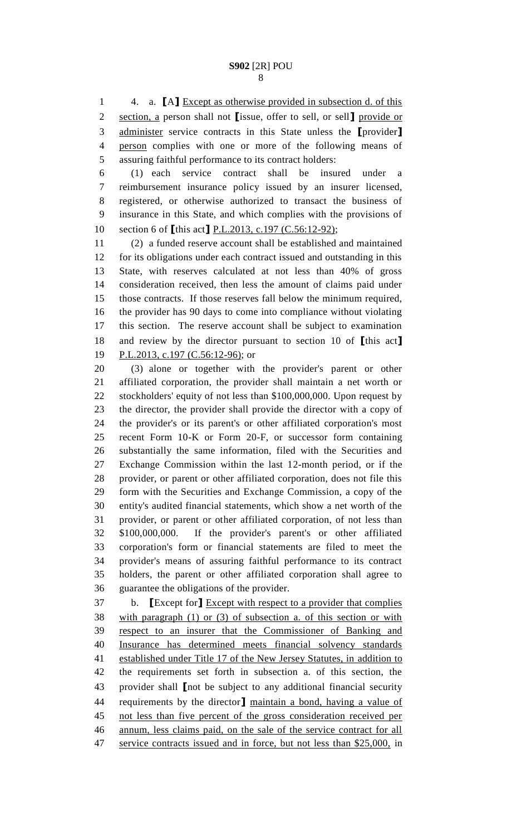4. a. **[**A**]** Except as otherwise provided in subsection d. of this section, a person shall not **[**issue, offer to sell, or sell**]** provide or administer service contracts in this State unless the **[**provider**]** person complies with one or more of the following means of assuring faithful performance to its contract holders:

 (1) each service contract shall be insured under a reimbursement insurance policy issued by an insurer licensed, registered, or otherwise authorized to transact the business of insurance in this State, and which complies with the provisions of section 6 of **[**this act**]** P.L.2013, c.197 (C.56:12-92);

 (2) a funded reserve account shall be established and maintained for its obligations under each contract issued and outstanding in this State, with reserves calculated at not less than 40% of gross consideration received, then less the amount of claims paid under those contracts. If those reserves fall below the minimum required, the provider has 90 days to come into compliance without violating this section. The reserve account shall be subject to examination and review by the director pursuant to section 10 of **[**this act**]** P.L.2013, c.197 (C.56:12-96); or

 (3) alone or together with the provider's parent or other affiliated corporation, the provider shall maintain a net worth or stockholders' equity of not less than \$100,000,000. Upon request by the director, the provider shall provide the director with a copy of the provider's or its parent's or other affiliated corporation's most recent Form 10-K or Form 20-F, or successor form containing substantially the same information, filed with the Securities and Exchange Commission within the last 12-month period, or if the provider, or parent or other affiliated corporation, does not file this form with the Securities and Exchange Commission, a copy of the entity's audited financial statements, which show a net worth of the provider, or parent or other affiliated corporation, of not less than \$100,000,000. If the provider's parent's or other affiliated corporation's form or financial statements are filed to meet the provider's means of assuring faithful performance to its contract holders, the parent or other affiliated corporation shall agree to guarantee the obligations of the provider.

 b. **[**Except for**]** Except with respect to a provider that complies with paragraph (1) or (3) of subsection a. of this section or with respect to an insurer that the Commissioner of Banking and Insurance has determined meets financial solvency standards established under Title 17 of the New Jersey Statutes, in addition to the requirements set forth in subsection a. of this section, the provider shall **[**not be subject to any additional financial security requirements by the director**]** maintain a bond, having a value of not less than five percent of the gross consideration received per annum, less claims paid, on the sale of the service contract for all 47 service contracts issued and in force, but not less than \$25,000, in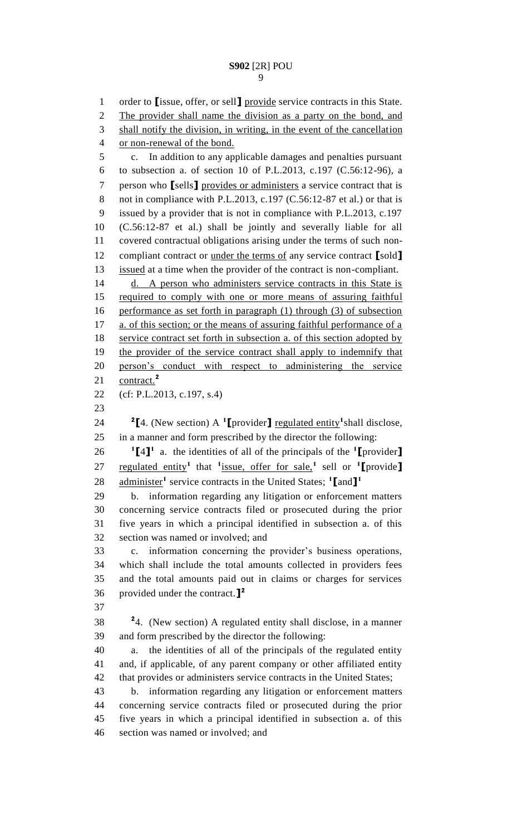order to **[**issue, offer, or sell**]** provide service contracts in this State. The provider shall name the division as a party on the bond, and shall notify the division, in writing, in the event of the cancellation or non-renewal of the bond. c. In addition to any applicable damages and penalties pursuant to subsection a. of section 10 of P.L.2013, c.197 (C.56:12-96), a person who **[**sells**]** provides or administers a service contract that is 8 not in compliance with P.L.2013, c.197 (C.56:12-87 et al.) or that is issued by a provider that is not in compliance with P.L.2013, c.197 (C.56:12-87 et al.) shall be jointly and severally liable for all covered contractual obligations arising under the terms of such non- compliant contract or under the terms of any service contract **[**sold**]** issued at a time when the provider of the contract is non-compliant. d. A person who administers service contracts in this State is 15 required to comply with one or more means of assuring faithful performance as set forth in paragraph (1) through (3) of subsection 17 a. of this section; or the means of assuring faithful performance of a 18 service contract set forth in subsection a. of this section adopted by 19 the provider of the service contract shall apply to indemnify that person's conduct with respect to administering the service contract.**<sup>2</sup>** (cf: P.L.2013, c.197, s.4)  $\bullet$  <sup>2</sup>[4. (New section) A <sup>1</sup>[provider] <u>regulated entity</u><sup>1</sup> shall disclose, in a manner and form prescribed by the director the following: **[**4**] <sup>1</sup>**a. the identities of all of the principals of the **<sup>1</sup> [**provider**]** regulated entity**<sup>1</sup>**that **<sup>1</sup>** issue, offer for sale,**<sup>1</sup>** sell or **<sup>1</sup> [**provide**]** administer**<sup>1</sup>** service contracts in the United States; **<sup>1</sup> [**and**] 1** b. information regarding any litigation or enforcement matters concerning service contracts filed or prosecuted during the prior five years in which a principal identified in subsection a. of this section was named or involved; and c. information concerning the provider's business operations, which shall include the total amounts collected in providers fees and the total amounts paid out in claims or charges for services provided under the contract.**] 2 24.** (New section) A regulated entity shall disclose, in a manner and form prescribed by the director the following: a. the identities of all of the principals of the regulated entity and, if applicable, of any parent company or other affiliated entity that provides or administers service contracts in the United States; b. information regarding any litigation or enforcement matters concerning service contracts filed or prosecuted during the prior five years in which a principal identified in subsection a. of this section was named or involved; and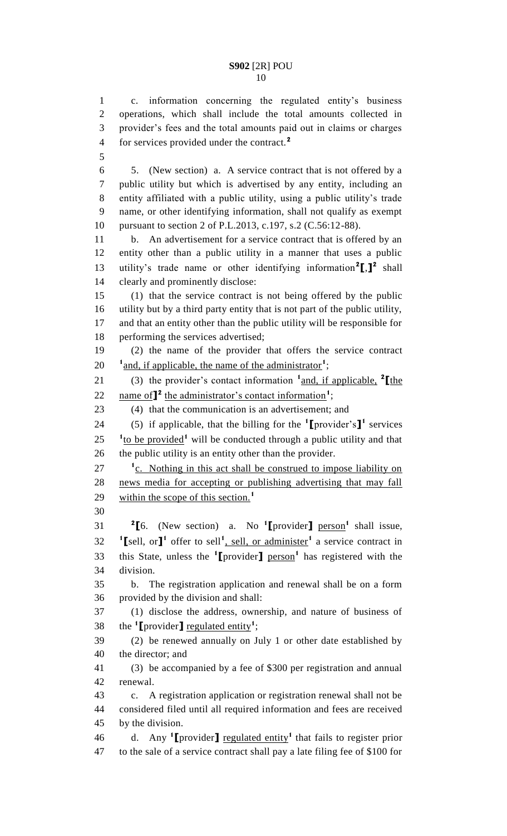c. information concerning the regulated entity's business operations, which shall include the total amounts collected in provider's fees and the total amounts paid out in claims or charges for services provided under the contract.**<sup>2</sup>** 

 5. (New section) a. A service contract that is not offered by a public utility but which is advertised by any entity, including an entity affiliated with a public utility, using a public utility's trade name, or other identifying information, shall not qualify as exempt pursuant to section 2 of P.L.2013, c.197, s.2 (C.56:12-88).

 b. An advertisement for a service contract that is offered by an entity other than a public utility in a manner that uses a public 13 utility's trade name or other identifying information<sup>2</sup><sup>[1, 12</sup> shall clearly and prominently disclose:

 (1) that the service contract is not being offered by the public utility but by a third party entity that is not part of the public utility, and that an entity other than the public utility will be responsible for performing the services advertised;

 (2) the name of the provider that offers the service contract 20 <sup>1</sup> and, if applicable, the name of the administrator<sup>1</sup>;

21 (3) the provider's contact information  $\frac{1}{2}$  and, if applicable,  $\frac{2}{2}$  [the 22 name of  $\mathbf{I}^2$  the administrator's contact information<sup>1</sup>;

(4) that the communication is an advertisement; and

24 (5) if applicable, that the billing for the  $\text{1}$ **[**provider's**]** services <sup>1</sup>to be provided<sup>1</sup> will be conducted through a public utility and that the public utility is an entity other than the provider.

<sup>1</sup><sub>2</sub>. Nothing in this act shall be construed to impose liability on news media for accepting or publishing advertising that may fall within the scope of this section.<sup>1</sup> 

**[**6. (New section) a. No **<sup>1</sup>**[provider] person<sup>1</sup> shall issue, **I** sell, or **]<sup><sup>1</sup>**</sup> offer to sell<sup>1</sup>, sell, or administer<sup>1</sup> a service contract in 33 this State, unless the **1** [provider] person<sup>1</sup> has registered with the division.

 b. The registration application and renewal shall be on a form provided by the division and shall:

 (1) disclose the address, ownership, and nature of business of 38 the  $\text{1}$  [provider] regulated entity<sup>1</sup>;

 (2) be renewed annually on July 1 or other date established by the director; and

 (3) be accompanied by a fee of \$300 per registration and annual renewal.

 c. A registration application or registration renewal shall not be considered filed until all required information and fees are received by the division.

46 d. Any <sup>1</sup>[provider] <u>regulated entity</u><sup>1</sup> that fails to register prior to the sale of a service contract shall pay a late filing fee of \$100 for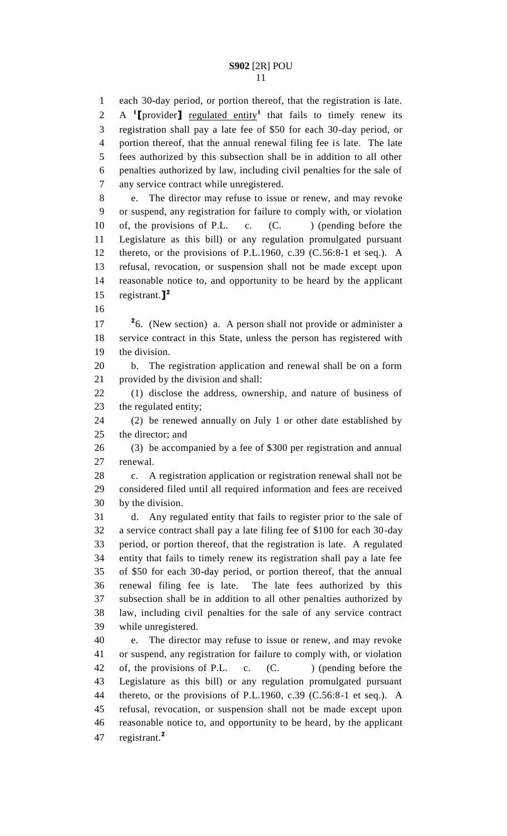each 30-day period, or portion thereof, that the registration is late. A <sup>1</sup>[provider] <u>regulated entity</u><sup>1</sup> that fails to timely renew its registration shall pay a late fee of \$50 for each 30-day period, or portion thereof, that the annual renewal filing fee is late. The late fees authorized by this subsection shall be in addition to all other penalties authorized by law, including civil penalties for the sale of any service contract while unregistered.

 e. The director may refuse to issue or renew, and may revoke or suspend, any registration for failure to comply with, or violation 10 of, the provisions of P.L. c. (C. ) (pending before the Legislature as this bill) or any regulation promulgated pursuant thereto, or the provisions of P.L.1960, c.39 (C.56:8-1 et seq.). A refusal, revocation, or suspension shall not be made except upon reasonable notice to, and opportunity to be heard by the applicant registrant.**] 2** 

<sup>2</sup><sup>6</sup>. (New section) a. A person shall not provide or administer a service contract in this State, unless the person has registered with the division.

 b. The registration application and renewal shall be on a form provided by the division and shall:

 (1) disclose the address, ownership, and nature of business of the regulated entity;

 (2) be renewed annually on July 1 or other date established by the director; and

 (3) be accompanied by a fee of \$300 per registration and annual renewal.

 c. A registration application or registration renewal shall not be considered filed until all required information and fees are received by the division.

 d. Any regulated entity that fails to register prior to the sale of a service contract shall pay a late filing fee of \$100 for each 30-day period, or portion thereof, that the registration is late. A regulated entity that fails to timely renew its registration shall pay a late fee of \$50 for each 30-day period, or portion thereof, that the annual renewal filing fee is late. The late fees authorized by this subsection shall be in addition to all other penalties authorized by law, including civil penalties for the sale of any service contract while unregistered.

 e. The director may refuse to issue or renew, and may revoke or suspend, any registration for failure to comply with, or violation 42 of, the provisions of P.L. c. (C. ) (pending before the Legislature as this bill) or any regulation promulgated pursuant thereto, or the provisions of P.L.1960, c.39 (C.56:8-1 et seq.). A refusal, revocation, or suspension shall not be made except upon reasonable notice to, and opportunity to be heard, by the applicant registrant.**<sup>2</sup>**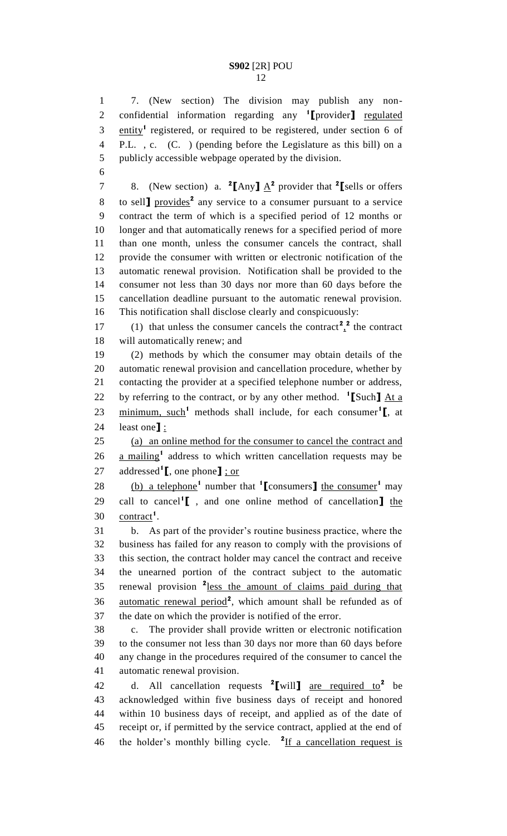7. (New section) The division may publish any non-2 confidential information regarding any **1** [provider] regulated  $\frac{3}{2}$  entity<sup>1</sup> registered, or required to be registered, under section 6 of P.L. , c. (C. ) (pending before the Legislature as this bill) on a publicly accessible webpage operated by the division.

7 8. (New section) a. **<sup>2</sup>**[Any]  $\underline{A}^2$  provider that <sup>2</sup>[sells or offers to sell**]** provides**<sup>2</sup>** any service to a consumer pursuant to a service contract the term of which is a specified period of 12 months or longer and that automatically renews for a specified period of more than one month, unless the consumer cancels the contract, shall provide the consumer with written or electronic notification of the automatic renewal provision. Notification shall be provided to the consumer not less than 30 days nor more than 60 days before the cancellation deadline pursuant to the automatic renewal provision. This notification shall disclose clearly and conspicuously:

17 (1) that unless the consumer cancels the contract<sup>2</sup>, the contract will automatically renew; and

 (2) methods by which the consumer may obtain details of the automatic renewal provision and cancellation procedure, whether by contacting the provider at a specified telephone number or address, by referring to the contract, or by any other method. **<sup>1</sup> [**Such**]** At a 23 minimum, such<sup>1</sup> methods shall include, for each consumer<sup>1</sup><sub>L</sub>, at least one**]** :

 (a) an online method for the consumer to cancel the contract and 26 a mailing<sup>1</sup> address to which written cancellation requests may be addressed**<sup>1</sup> [**, one phone**]** ; or

28 (b) a telephone<sup>1</sup> number that  $\binom{1}{2}$  consumers<sup>1</sup> the consumer<sup>1</sup> may call to cancel**<sup>1</sup> [** , and one online method of cancellation**]** the 30 contract<sup>1</sup>.

 b. As part of the provider's routine business practice, where the business has failed for any reason to comply with the provisions of this section, the contract holder may cancel the contract and receive the unearned portion of the contract subject to the automatic 35 renewal provision <sup>2</sup> less the amount of claims paid during that 36 automatic renewal period<sup>2</sup>, which amount shall be refunded as of the date on which the provider is notified of the error.

 c. The provider shall provide written or electronic notification to the consumer not less than 30 days nor more than 60 days before any change in the procedures required of the consumer to cancel the automatic renewal provision.

d. All cancellation requests **<sup>2</sup> [**will**]** are required to**<sup>2</sup>** be acknowledged within five business days of receipt and honored within 10 business days of receipt, and applied as of the date of receipt or, if permitted by the service contract, applied at the end of 46 the holder's monthly billing cycle. <sup>2</sup>If a cancellation request is